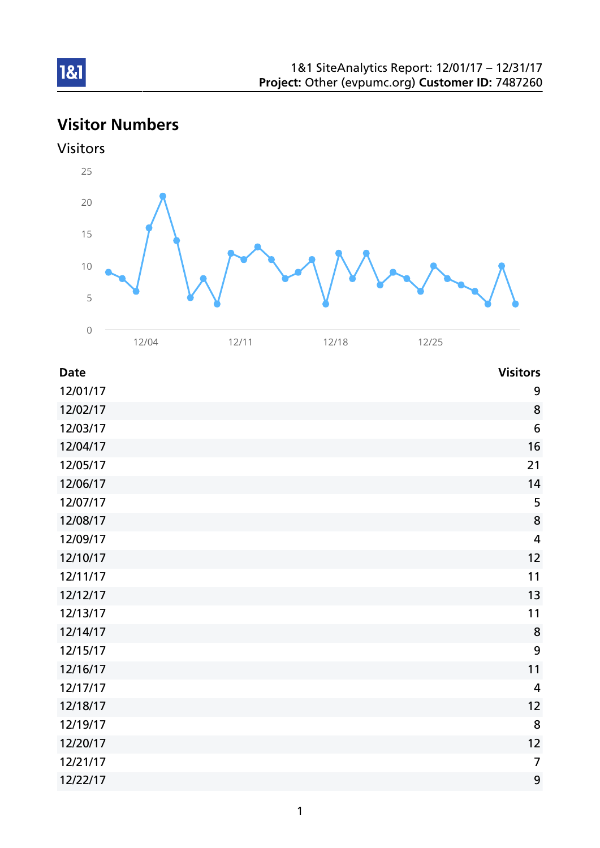# Visitor Numbers



| <b>Date</b> | <b>Visitors</b>         |
|-------------|-------------------------|
| 12/01/17    | 9                       |
| 12/02/17    | 8                       |
| 12/03/17    | $6\phantom{1}6$         |
| 12/04/17    | 16                      |
| 12/05/17    | 21                      |
| 12/06/17    | 14                      |
| 12/07/17    | 5                       |
| 12/08/17    | 8                       |
| 12/09/17    | $\overline{\mathbf{4}}$ |
| 12/10/17    | 12                      |
| 12/11/17    | 11                      |
| 12/12/17    | 13                      |
| 12/13/17    | 11                      |
| 12/14/17    | 8                       |
| 12/15/17    | 9                       |
| 12/16/17    | 11                      |
| 12/17/17    | $\overline{4}$          |
| 12/18/17    | 12                      |
| 12/19/17    | 8                       |
| 12/20/17    | 12                      |
| 12/21/17    | $\overline{7}$          |
| 12/22/17    | 9                       |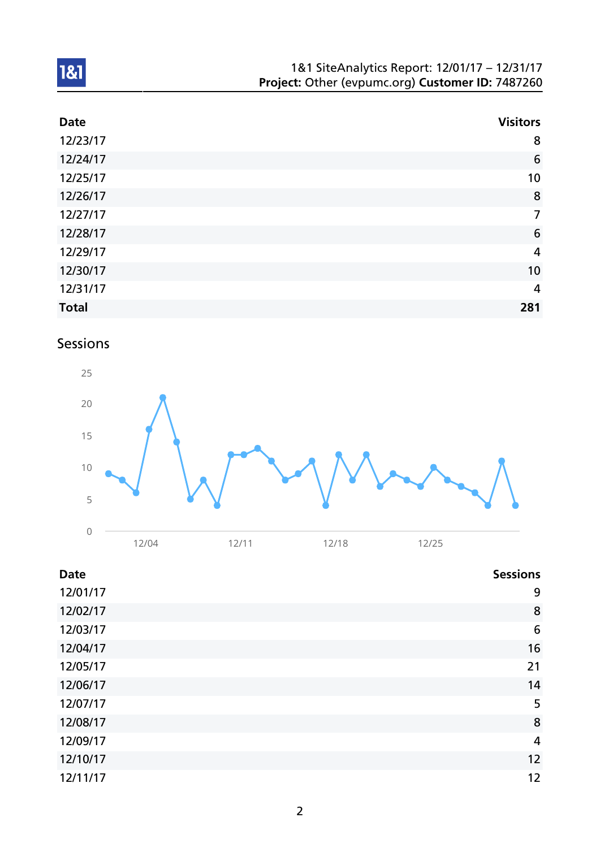| 1&1 SiteAnalytics Report: 12/01/17 - 12/31/17    |
|--------------------------------------------------|
| Project: Other (evpumc.org) Customer ID: 7487260 |

| <b>Date</b>  | <b>Visitors</b> |
|--------------|-----------------|
| 12/23/17     | 8               |
| 12/24/17     | $6\phantom{1}6$ |
| 12/25/17     | 10              |
| 12/26/17     | 8               |
| 12/27/17     | $\overline{7}$  |
| 12/28/17     | $6\phantom{1}6$ |
| 12/29/17     | $\overline{4}$  |
| 12/30/17     | 10              |
| 12/31/17     | $\overline{4}$  |
| <b>Total</b> | 281             |

# Sessions



| <b>Date</b> | <b>Sessions</b> |
|-------------|-----------------|
| 12/01/17    | 9               |
| 12/02/17    | 8               |
| 12/03/17    | 6               |
| 12/04/17    | 16              |
| 12/05/17    | 21              |
| 12/06/17    | 14              |
| 12/07/17    | 5               |
| 12/08/17    | 8               |
| 12/09/17    | 4               |
| 12/10/17    | 12              |
| 12/11/17    | 12              |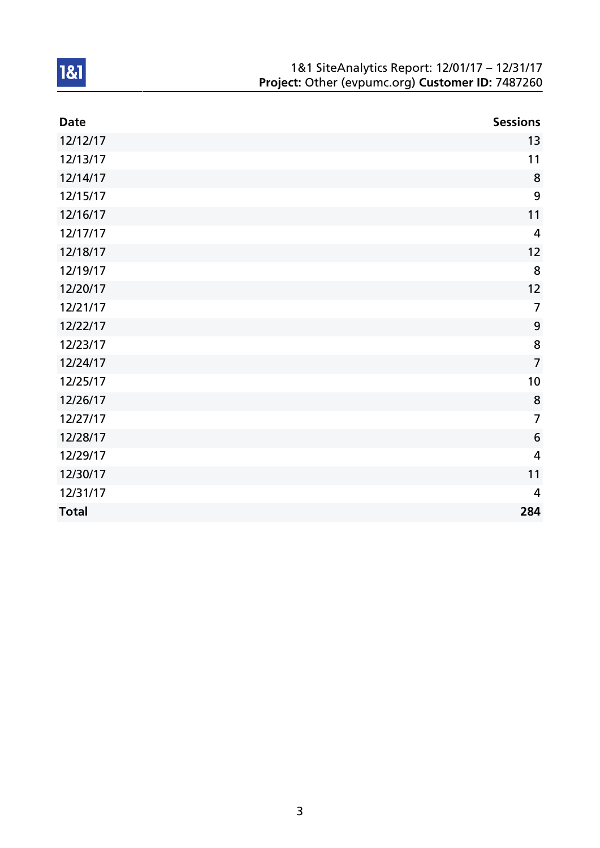| 1&1 SiteAnalytics Report: 12/01/17 - 12/31/17    |
|--------------------------------------------------|
| Project: Other (evpumc.org) Customer ID: 7487260 |

| <b>Date</b>  | <b>Sessions</b> |
|--------------|-----------------|
| 12/12/17     | 13              |
| 12/13/17     | 11              |
| 12/14/17     | 8               |
| 12/15/17     | 9               |
| 12/16/17     | 11              |
| 12/17/17     | $\overline{4}$  |
| 12/18/17     | 12              |
| 12/19/17     | 8               |
| 12/20/17     | 12              |
| 12/21/17     | $\overline{7}$  |
| 12/22/17     | $\mathbf{9}$    |
| 12/23/17     | 8               |
| 12/24/17     | $\overline{7}$  |
| 12/25/17     | 10              |
| 12/26/17     | 8               |
| 12/27/17     | $\overline{7}$  |
| 12/28/17     | $6\phantom{1}6$ |
| 12/29/17     | $\overline{4}$  |
| 12/30/17     | 11              |
| 12/31/17     | $\overline{4}$  |
| <b>Total</b> | 284             |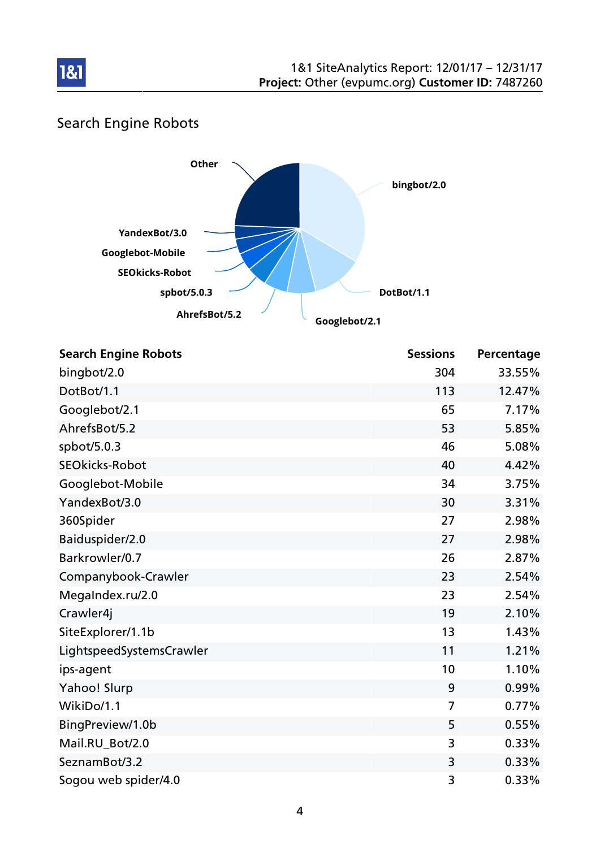

# Search Engine Robots

181



| <b>Search Engine Robots</b> | <b>Sessions</b> | Percentage |
|-----------------------------|-----------------|------------|
| bingbot/2.0                 | 304             | 33.55%     |
| DotBot/1.1                  | 113             | 12.47%     |
| Googlebot/2.1               | 65              | 7.17%      |
| AhrefsBot/5.2               | 53              | 5.85%      |
| spbot/5.0.3                 | 46              | 5.08%      |
| <b>SEOkicks-Robot</b>       | 40              | 4.42%      |
| Googlebot-Mobile            | 34              | 3.75%      |
| YandexBot/3.0               | 30              | 3.31%      |
| 360Spider                   | 27              | 2.98%      |
| Baiduspider/2.0             | 27              | 2.98%      |
| Barkrowler/0.7              | 26              | 2.87%      |
| Companybook-Crawler         | 23              | 2.54%      |
| MegaIndex.ru/2.0            | 23              | 2.54%      |
| Crawler4j                   | 19              | 2.10%      |
| SiteExplorer/1.1b           | 13              | 1.43%      |
| LightspeedSystemsCrawler    | 11              | 1.21%      |
| ips-agent                   | 10              | 1.10%      |
| Yahoo! Slurp                | 9               | 0.99%      |
| WikiDo/1.1                  | 7               | 0.77%      |
| BingPreview/1.0b            | 5               | 0.55%      |
| Mail.RU_Bot/2.0             | 3               | 0.33%      |
| SeznamBot/3.2               | 3               | 0.33%      |
| Sogou web spider/4.0        | 3               | 0.33%      |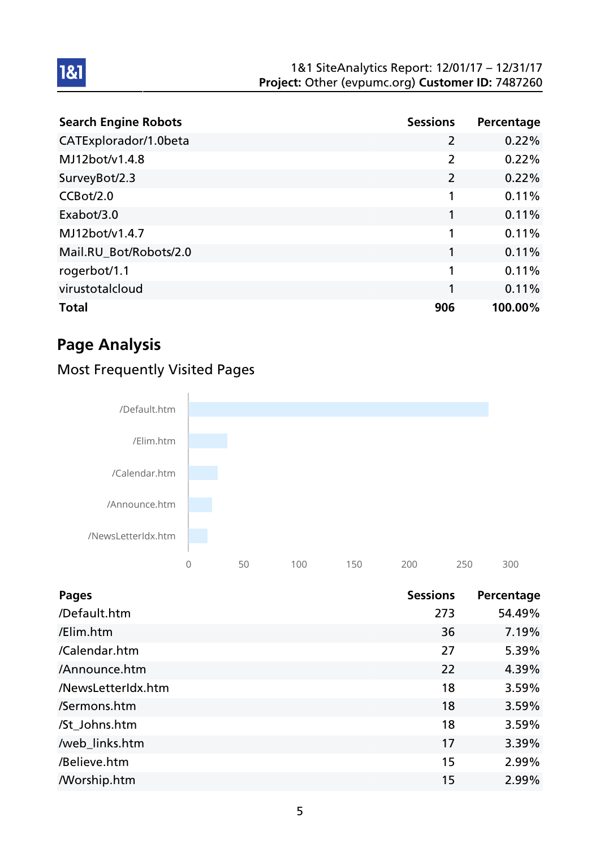| <b>Search Engine Robots</b> | <b>Sessions</b> | Percentage |
|-----------------------------|-----------------|------------|
| CATExplorador/1.0beta       | $\overline{2}$  | 0.22%      |
| MJ12bot/v1.4.8              | $\overline{2}$  | 0.22%      |
| SurveyBot/2.3               | $\overline{2}$  | 0.22%      |
| CCBot/2.0                   | 1               | 0.11%      |
| Exabot/3.0                  | 1               | 0.11%      |
| MJ12bot/v1.4.7              | 1               | 0.11%      |
| Mail.RU_Bot/Robots/2.0      | 1               | 0.11%      |
| rogerbot/1.1                | 1               | 0.11%      |
| virustotalcloud             | 1               | 0.11%      |
| <b>Total</b>                | 906             | 100.00%    |

# Page Analysis

1&1

### Most Frequently Visited Pages



| <b>Pages</b>       | <b>Sessions</b> | Percentage |
|--------------------|-----------------|------------|
| /Default.htm       | 273             | 54.49%     |
| /Elim.htm          | 36              | 7.19%      |
| /Calendar.htm      | 27              | 5.39%      |
| /Announce.htm      | 22              | 4.39%      |
| /NewsLetterIdx.htm | 18              | 3.59%      |
| /Sermons.htm       | 18              | 3.59%      |
| /St_Johns.htm      | 18              | 3.59%      |
| /web_links.htm     | 17              | 3.39%      |
| /Believe.htm       | 15              | 2.99%      |
| <b>Morship.htm</b> | 15              | 2.99%      |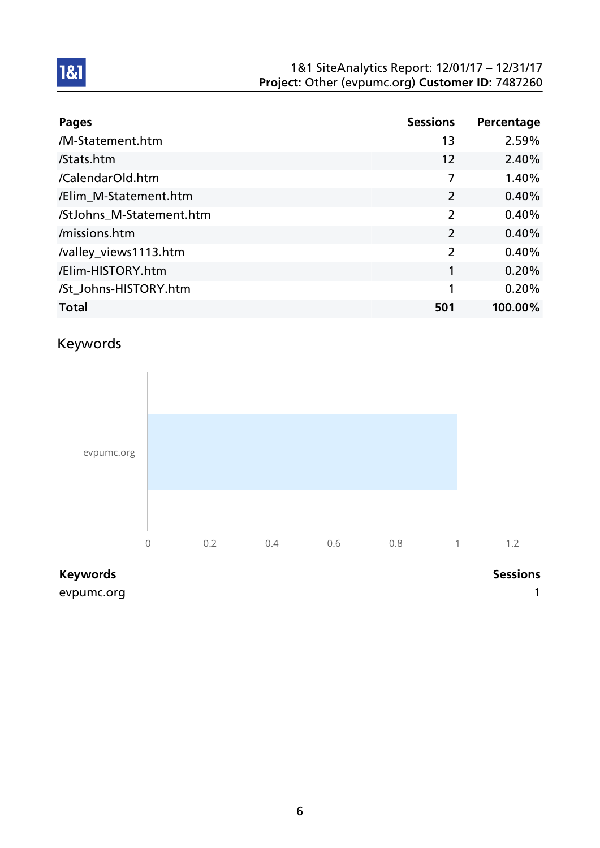#### 1&1 SiteAnalytics Report: 12/01/17 – 12/31/17 Project: Other (evpumc.org) Customer ID: 7487260

| <b>Pages</b>             | <b>Sessions</b> | Percentage |
|--------------------------|-----------------|------------|
| /M-Statement.htm         | 13              | 2.59%      |
| /Stats.htm               | 12              | 2.40%      |
| /CalendarOld.htm         | 7               | 1.40%      |
| /Elim_M-Statement.htm    | $\overline{2}$  | 0.40%      |
| /StJohns_M-Statement.htm | 2               | 0.40%      |
| /missions.htm            | 2               | 0.40%      |
| /valley_views1113.htm    | 2               | 0.40%      |
| /Elim-HISTORY.htm        | 1               | 0.20%      |
| /St_Johns-HISTORY.htm    | 1               | 0.20%      |
| <b>Total</b>             | 501             | 100.00%    |

### Keywords

1&1



#### Keywords **Sessions**

evpumc.org in the contract of the contract of the contract of the contract of the contract of the contract of the contract of the contract of the contract of the contract of the contract of the contract of the contract of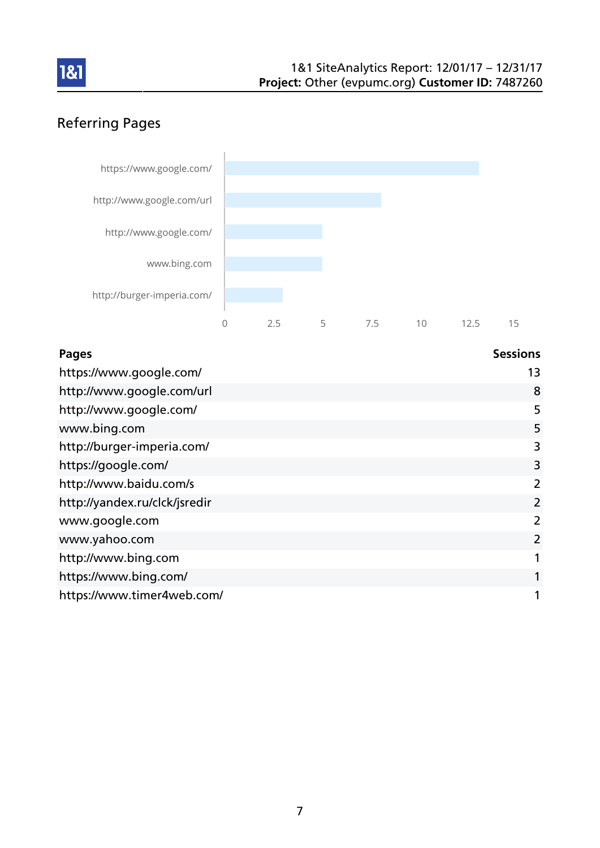

### Referring Pages



| <b>Pages</b>                  | <b>Sessions</b> |
|-------------------------------|-----------------|
| https://www.google.com/       | 13              |
| http://www.google.com/url     | 8               |
| http://www.google.com/        | 5               |
| www.bing.com                  | 5               |
| http://burger-imperia.com/    | 3               |
| https://google.com/           | 3               |
| http://www.baidu.com/s        | 2               |
| http://yandex.ru/clck/jsredir | 2               |
| www.google.com                | 2               |
| www.yahoo.com                 | 2               |
| http://www.bing.com           | 1               |
| https://www.bing.com/         | 1               |
| https://www.timer4web.com/    | 1               |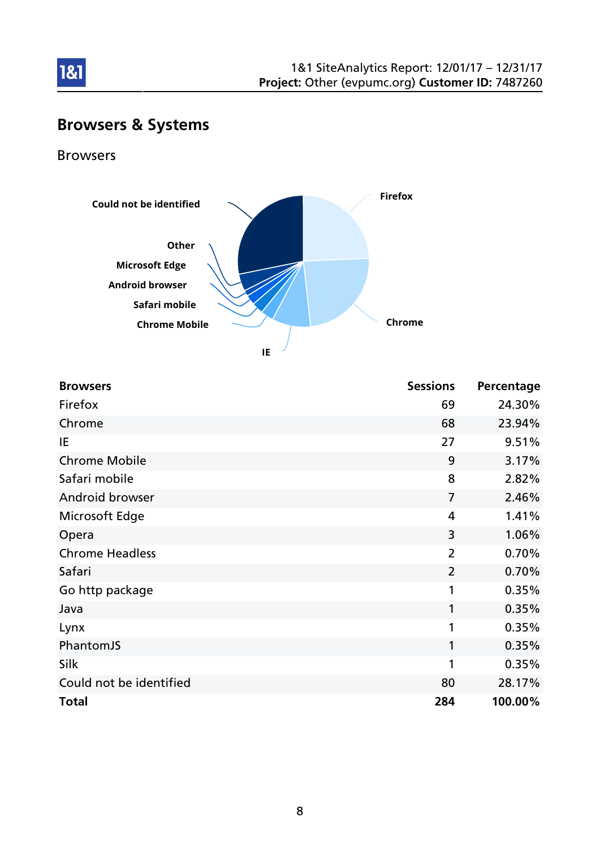

# Browsers & Systems

Browsers

181



| <b>Browsers</b>         | <b>Sessions</b> | Percentage |
|-------------------------|-----------------|------------|
| Firefox                 | 69              | 24.30%     |
| Chrome                  | 68              | 23.94%     |
| IE                      | 27              | 9.51%      |
| <b>Chrome Mobile</b>    | 9               | 3.17%      |
| Safari mobile           | 8               | 2.82%      |
| Android browser         | $\overline{7}$  | 2.46%      |
| Microsoft Edge          | 4               | 1.41%      |
| Opera                   | 3               | 1.06%      |
| <b>Chrome Headless</b>  | $\overline{2}$  | 0.70%      |
| Safari                  | $\overline{2}$  | 0.70%      |
| Go http package         | 1               | 0.35%      |
| Java                    | 1               | 0.35%      |
| Lynx                    | 1               | 0.35%      |
| PhantomJS               | 1               | 0.35%      |
| Silk                    | 1               | 0.35%      |
| Could not be identified | 80              | 28.17%     |
| <b>Total</b>            | 284             | 100.00%    |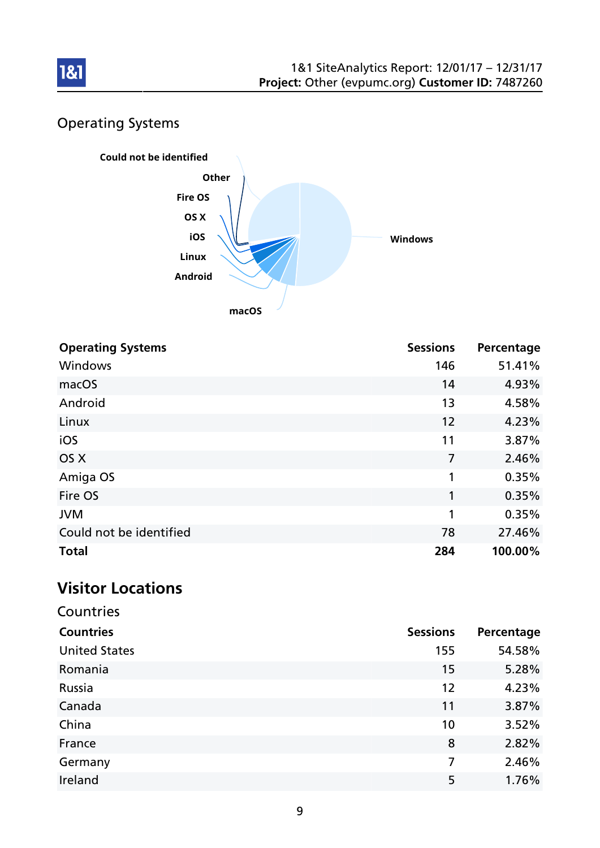

# Operating Systems



| <b>Operating Systems</b> | <b>Sessions</b> | Percentage |
|--------------------------|-----------------|------------|
| Windows                  | 146             | 51.41%     |
| macOS                    | 14              | 4.93%      |
| Android                  | 13              | 4.58%      |
| Linux                    | 12              | 4.23%      |
| iOS                      | 11              | 3.87%      |
| OS X                     | 7               | 2.46%      |
| Amiga OS                 | 1               | 0.35%      |
| Fire OS                  | 1               | 0.35%      |
| <b>JVM</b>               | 1               | 0.35%      |
| Could not be identified  | 78              | 27.46%     |
| <b>Total</b>             | 284             | 100.00%    |

### Visitor Locations

| Countries            |                 |            |
|----------------------|-----------------|------------|
| <b>Countries</b>     | <b>Sessions</b> | Percentage |
| <b>United States</b> | 155             | 54.58%     |
| Romania              | 15              | 5.28%      |
| Russia               | 12              | 4.23%      |
| Canada               | 11              | 3.87%      |
| China                | 10              | 3.52%      |
| France               | 8               | 2.82%      |
| Germany              | $\overline{7}$  | 2.46%      |
| Ireland              | 5               | 1.76%      |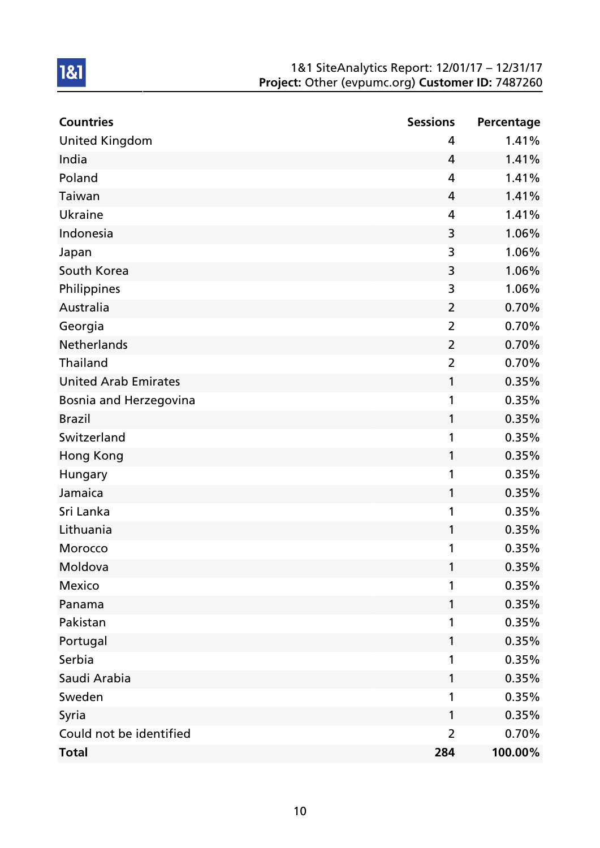#### 1&1 SiteAnalytics Report: 12/01/17 – 12/31/17 Project: Other (evpumc.org) Customer ID: 7487260

| <b>Countries</b>            | <b>Sessions</b> | Percentage |
|-----------------------------|-----------------|------------|
| <b>United Kingdom</b>       | 4               | 1.41%      |
| India                       | 4               | 1.41%      |
| Poland                      | 4               | 1.41%      |
| Taiwan                      | 4               | 1.41%      |
| Ukraine                     | 4               | 1.41%      |
| Indonesia                   | 3               | 1.06%      |
| Japan                       | 3               | 1.06%      |
| South Korea                 | 3               | 1.06%      |
| Philippines                 | 3               | 1.06%      |
| Australia                   | $\overline{2}$  | 0.70%      |
| Georgia                     | $\overline{2}$  | 0.70%      |
| <b>Netherlands</b>          | $\overline{2}$  | 0.70%      |
| <b>Thailand</b>             | $\overline{2}$  | 0.70%      |
| <b>United Arab Emirates</b> | 1               | 0.35%      |
| Bosnia and Herzegovina      | 1               | 0.35%      |
| <b>Brazil</b>               | 1               | 0.35%      |
| Switzerland                 | 1               | 0.35%      |
| Hong Kong                   | 1               | 0.35%      |
| Hungary                     | 1               | 0.35%      |
| Jamaica                     | 1               | 0.35%      |
| Sri Lanka                   | 1               | 0.35%      |
| Lithuania                   | 1               | 0.35%      |
| Morocco                     | 1               | 0.35%      |
| Moldova                     | 1               | 0.35%      |
| <b>Mexico</b>               | 1               | 0.35%      |
| Panama                      | 1               | 0.35%      |
| Pakistan                    | 1               | 0.35%      |
| Portugal                    | 1               | 0.35%      |
| Serbia                      | 1               | 0.35%      |
| Saudi Arabia                | 1               | 0.35%      |
| Sweden                      | 1               | 0.35%      |
| Syria                       | 1               | 0.35%      |
| Could not be identified     | $\overline{2}$  | 0.70%      |
| <b>Total</b>                | 284             | 100.00%    |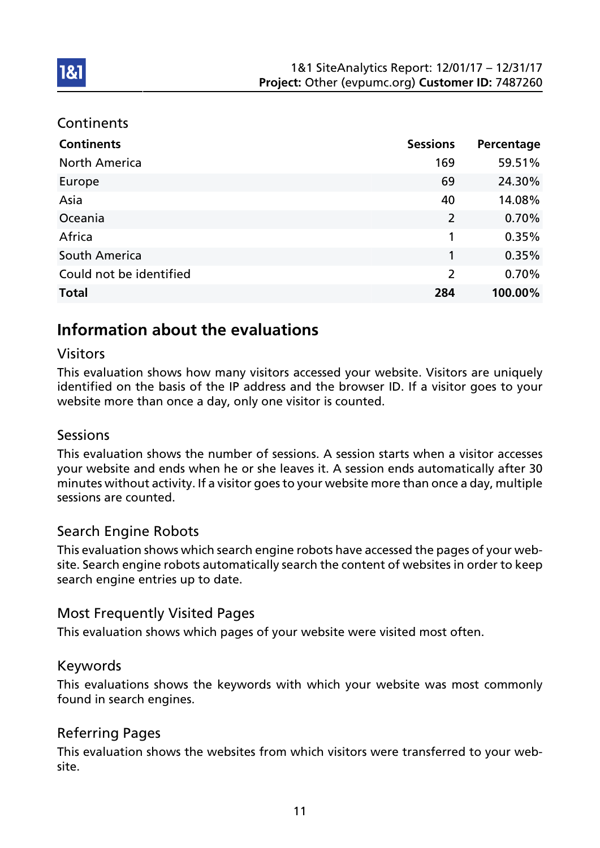#### **Continents**

1&1

| <b>Continents</b>       | <b>Sessions</b> | Percentage |
|-------------------------|-----------------|------------|
| <b>North America</b>    | 169             | 59.51%     |
| Europe                  | 69              | 24.30%     |
| Asia                    | 40              | 14.08%     |
| Oceania                 | 2               | 0.70%      |
| Africa                  | 1               | 0.35%      |
| <b>South America</b>    | 1               | 0.35%      |
| Could not be identified | $\overline{2}$  | 0.70%      |
| <b>Total</b>            | 284             | 100.00%    |

### Information about the evaluations

#### Visitors

This evaluation shows how many visitors accessed your website. Visitors are uniquely identified on the basis of the IP address and the browser ID. If a visitor goes to your website more than once a day, only one visitor is counted.

#### Sessions

This evaluation shows the number of sessions. A session starts when a visitor accesses your website and ends when he or she leaves it. A session ends automatically after 30 minutes without activity. If a visitor goes to your website more than once a day, multiple sessions are counted.

#### Search Engine Robots

This evaluation shows which search engine robots have accessed the pages of your website. Search engine robots automatically search the content of websites in order to keep search engine entries up to date.

#### Most Frequently Visited Pages

This evaluation shows which pages of your website were visited most often.

#### Keywords

This evaluations shows the keywords with which your website was most commonly found in search engines.

#### Referring Pages

This evaluation shows the websites from which visitors were transferred to your website.